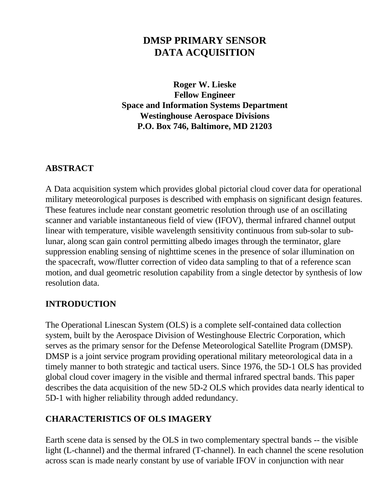# **DMSP PRIMARY SENSOR DATA ACQUISITION**

**Roger W. Lieske Fellow Engineer Space and Information Systems Department Westinghouse Aerospace Divisions P.O. Box 746, Baltimore, MD 21203**

#### **ABSTRACT**

A Data acquisition system which provides global pictorial cloud cover data for operational military meteorological purposes is described with emphasis on significant design features. These features include near constant geometric resolution through use of an oscillating scanner and variable instantaneous field of view (IFOV), thermal infrared channel output linear with temperature, visible wavelength sensitivity continuous from sub-solar to sublunar, along scan gain control permitting albedo images through the terminator, glare suppression enabling sensing of nighttime scenes in the presence of solar illumination on the spacecraft, wow/flutter correction of video data sampling to that of a reference scan motion, and dual geometric resolution capability from a single detector by synthesis of low resolution data.

#### **INTRODUCTION**

The Operational Linescan System (OLS) is a complete self-contained data collection system, built by the Aerospace Division of Westinghouse Electric Corporation, which serves as the primary sensor for the Defense Meteorological Satellite Program (DMSP). DMSP is a joint service program providing operational military meteorological data in a timely manner to both strategic and tactical users. Since 1976, the 5D-1 OLS has provided global cloud cover imagery in the visible and thermal infrared spectral bands. This paper describes the data acquisition of the new 5D-2 OLS which provides data nearly identical to 5D-1 with higher reliability through added redundancy.

#### **CHARACTERISTICS OF OLS IMAGERY**

Earth scene data is sensed by the OLS in two complementary spectral bands -- the visible light (L-channel) and the thermal infrared (T-channel). In each channel the scene resolution across scan is made nearly constant by use of variable IFOV in conjunction with near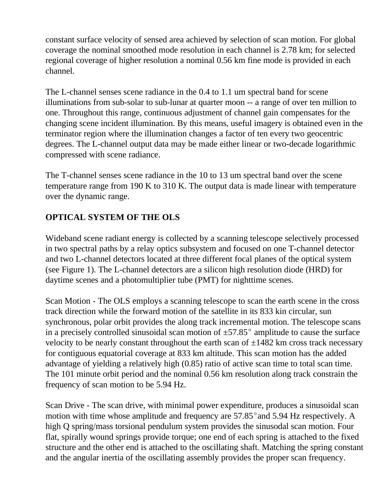constant surface velocity of sensed area achieved by selection of scan motion. For global coverage the nominal smoothed mode resolution in each channel is 2.78 km; for selected regional coverage of higher resolution a nominal 0.56 km fine mode is provided in each channel.

The L-channel senses scene radiance in the 0.4 to 1.1 um spectral band for scene illuminations from sub-solar to sub-lunar at quarter moon -- a range of over ten million to one. Throughout this range, continuous adjustment of channel gain compensates for the changing scene incident illumination. By this means, useful imagery is obtained even in the terminator region where the illumination changes a factor of ten every two geocentric degrees. The L-channel output data may be made either linear or two-decade logarithmic compressed with scene radiance.

The T-channel senses scene radiance in the 10 to 13 um spectral band over the scene temperature range from 190 K to 310 K. The output data is made linear with temperature over the dynamic range.

## **OPTICAL SYSTEM OF THE OLS**

Wideband scene radiant energy is collected by a scanning telescope selectively processed in two spectral paths by a relay optics subsystem and focused on one T-channel detector and two L-channel detectors located at three different focal planes of the optical system (see Figure 1). The L-channel detectors are a silicon high resolution diode (HRD) for daytime scenes and a photomultiplier tube (PMT) for nighttime scenes.

Scan Motion - The OLS employs a scanning telescope to scan the earth scene in the cross track direction while the forward motion of the satellite in its 833 kin circular, sun synchronous, polar orbit provides the along track incremental motion. The telescope scans in a precisely controlled sinusoidal scan motion of  $\pm 57.85^{\circ}$  amplitude to cause the surface velocity to be nearly constant throughout the earth scan of  $\pm 1482$  km cross track necessary for contiguous equatorial coverage at 833 km altitude. This scan motion has the added advantage of yielding a relatively high (0.85) ratio of active scan time to total scan time. The 101 minute orbit period and the nominal 0.56 km resolution along track constrain the frequency of scan motion to be 5.94 Hz.

Scan Drive - The scan drive, with minimal power expenditure, produces a sinusoidal scan motion with time whose amplitude and frequency are  $57.85^{\circ}$  and  $5.94$  Hz respectively. A high Q spring/mass torsional pendulum system provides the sinusodal scan motion. Four flat, spirally wound springs provide torque; one end of each spring is attached to the fixed structure and the other end is attached to the oscillating shaft. Matching the spring constant and the angular inertia of the oscillating assembly provides the proper scan frequency.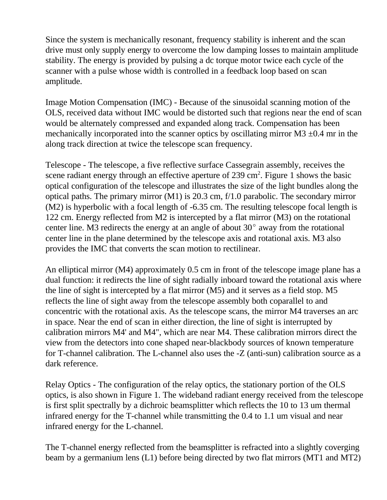Since the system is mechanically resonant, frequency stability is inherent and the scan drive must only supply energy to overcome the low damping losses to maintain amplitude stability. The energy is provided by pulsing a dc torque motor twice each cycle of the scanner with a pulse whose width is controlled in a feedback loop based on scan amplitude.

Image Motion Compensation (IMC) - Because of the sinusoidal scanning motion of the OLS, received data without IMC would be distorted such that regions near the end of scan would be alternately compressed and expanded along track. Compensation has been mechanically incorporated into the scanner optics by oscillating mirror  $M3 \pm 0.4$  mr in the along track direction at twice the telescope scan frequency.

Telescope - The telescope, a five reflective surface Cassegrain assembly, receives the scene radiant energy through an effective aperture of  $239 \text{ cm}^2$ . Figure 1 shows the basic optical configuration of the telescope and illustrates the size of the light bundles along the optical paths. The primary mirror (M1) is 20.3 cm, f/1.0 parabolic. The secondary mirror (M2) is hyperbolic with a focal length of -6.35 cm. The resulting telescope focal length is 122 cm. Energy reflected from M2 is intercepted by a flat mirror (M3) on the rotational center line. M3 redirects the energy at an angle of about  $30^{\circ}$  away from the rotational center line in the plane determined by the telescope axis and rotational axis. M3 also provides the IMC that converts the scan motion to rectilinear.

An elliptical mirror (M4) approximately 0.5 cm in front of the telescope image plane has a dual function: it redirects the line of sight radially inboard toward the rotational axis where the line of sight is intercepted by a flat mirror (M5) and it serves as a field stop. M5 reflects the line of sight away from the telescope assembly both coparallel to and concentric with the rotational axis. As the telescope scans, the mirror M4 traverses an arc in space. Near the end of scan in either direction, the line of sight is interrupted by calibration mirrors M4' and M4", which are near M4. These calibration mirrors direct the view from the detectors into cone shaped near-blackbody sources of known temperature for T-channel calibration. The L-channel also uses the -Z (anti-sun) calibration source as a dark reference.

Relay Optics - The configuration of the relay optics, the stationary portion of the OLS optics, is also shown in Figure 1. The wideband radiant energy received from the telescope is first split spectrally by a dichroic beamsplitter which reflects the 10 to 13 um thermal infrared energy for the T-channel while transmitting the 0.4 to 1.1 um visual and near infrared energy for the L-channel.

The T-channel energy reflected from the beamsplitter is refracted into a slightly coverging beam by a germanium lens (L1) before being directed by two flat mirrors (MT1 and MT2)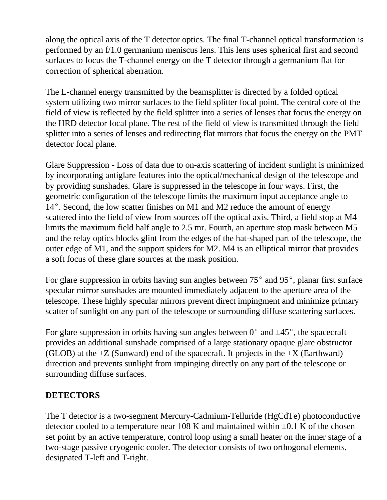along the optical axis of the T detector optics. The final T-channel optical transformation is performed by an f/1.0 germanium meniscus lens. This lens uses spherical first and second surfaces to focus the T-channel energy on the T detector through a germanium flat for correction of spherical aberration.

The L-channel energy transmitted by the beamsplitter is directed by a folded optical system utilizing two mirror surfaces to the field splitter focal point. The central core of the field of view is reflected by the field splitter into a series of lenses that focus the energy on the HRD detector focal plane. The rest of the field of view is transmitted through the field splitter into a series of lenses and redirecting flat mirrors that focus the energy on the PMT detector focal plane.

Glare Suppression - Loss of data due to on-axis scattering of incident sunlight is minimized by incorporating antiglare features into the optical/mechanical design of the telescope and by providing sunshades. Glare is suppressed in the telescope in four ways. First, the geometric configuration of the telescope limits the maximum input acceptance angle to  $14^{\circ}$ . Second, the low scatter finishes on M1 and M2 reduce the amount of energy scattered into the field of view from sources off the optical axis. Third, a field stop at M4 limits the maximum field half angle to 2.5 mr. Fourth, an aperture stop mask between M5 and the relay optics blocks glint from the edges of the hat-shaped part of the telescope, the outer edge of M1, and the support spiders for M2. M4 is an elliptical mirror that provides a soft focus of these glare sources at the mask position.

For glare suppression in orbits having sun angles between  $75^{\circ}$  and  $95^{\circ}$ , planar first surface specular mirror sunshades are mounted immediately adjacent to the aperture area of the telescope. These highly specular mirrors prevent direct impingment and minimize primary scatter of sunlight on any part of the telescope or surrounding diffuse scattering surfaces.

For glare suppression in orbits having sun angles between  $0^{\circ}$  and  $\pm 45^{\circ}$ , the spacecraft provides an additional sunshade comprised of a large stationary opaque glare obstructor (GLOB) at the  $+Z$  (Sunward) end of the spacecraft. It projects in the  $+X$  (Earthward) direction and prevents sunlight from impinging directly on any part of the telescope or surrounding diffuse surfaces.

#### **DETECTORS**

The T detector is a two-segment Mercury-Cadmium-Telluride (HgCdTe) photoconductive detector cooled to a temperature near 108 K and maintained within  $\pm 0.1$  K of the chosen set point by an active temperature, control loop using a small heater on the inner stage of a two-stage passive cryogenic cooler. The detector consists of two orthogonal elements, designated T-left and T-right.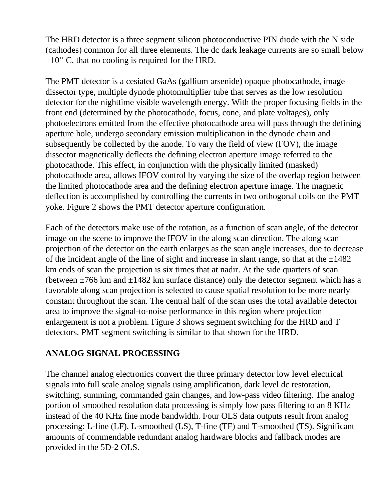The HRD detector is a three segment silicon photoconductive PIN diode with the N side (cathodes) common for all three elements. The dc dark leakage currents are so small below  $+10^{\circ}$  C, that no cooling is required for the HRD.

The PMT detector is a cesiated GaAs (gallium arsenide) opaque photocathode, image dissector type, multiple dynode photomultiplier tube that serves as the low resolution detector for the nighttime visible wavelength energy. With the proper focusing fields in the front end (determined by the photocathode, focus, cone, and plate voltages), only photoelectrons emitted from the effective photocathode area will pass through the defining aperture hole, undergo secondary emission multiplication in the dynode chain and subsequently be collected by the anode. To vary the field of view (FOV), the image dissector magnetically deflects the defining electron aperture image referred to the photocathode. This effect, in conjunction with the physically limited (masked) photocathode area, allows IFOV control by varying the size of the overlap region between the limited photocathode area and the defining electron aperture image. The magnetic deflection is accomplished by controlling the currents in two orthogonal coils on the PMT yoke. Figure 2 shows the PMT detector aperture configuration.

Each of the detectors make use of the rotation, as a function of scan angle, of the detector image on the scene to improve the IFOV in the along scan direction. The along scan projection of the detector on the earth enlarges as the scan angle increases, due to decrease of the incident angle of the line of sight and increase in slant range, so that at the  $\pm 1482$ km ends of scan the projection is six times that at nadir. At the side quarters of scan (between  $\pm$ 766 km and  $\pm$ 1482 km surface distance) only the detector segment which has a favorable along scan projection is selected to cause spatial resolution to be more nearly constant throughout the scan. The central half of the scan uses the total available detector area to improve the signal-to-noise performance in this region where projection enlargement is not a problem. Figure 3 shows segment switching for the HRD and T detectors. PMT segment switching is similar to that shown for the HRD.

#### **ANALOG SIGNAL PROCESSING**

The channel analog electronics convert the three primary detector low level electrical signals into full scale analog signals using amplification, dark level dc restoration, switching, summing, commanded gain changes, and low-pass video filtering. The analog portion of smoothed resolution data processing is simply low pass filtering to an 8 KHz instead of the 40 KHz fine mode bandwidth. Four OLS data outputs result from analog processing: L-fine (LF), L-smoothed (LS), T-fine (TF) and T-smoothed (TS). Significant amounts of commendable redundant analog hardware blocks and fallback modes are provided in the 5D-2 OLS.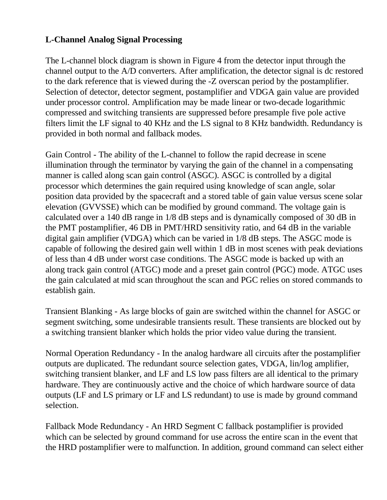## **L-Channel Analog Signal Processing**

The L-channel block diagram is shown in Figure 4 from the detector input through the channel output to the A/D converters. After amplification, the detector signal is dc restored to the dark reference that is viewed during the -Z overscan period by the postamplifier. Selection of detector, detector segment, postamplifier and VDGA gain value are provided under processor control. Amplification may be made linear or two-decade logarithmic compressed and switching transients are suppressed before presample five pole active filters limit the LF signal to 40 KHz and the LS signal to 8 KHz bandwidth. Redundancy is provided in both normal and fallback modes.

Gain Control - The ability of the L-channel to follow the rapid decrease in scene illumination through the terminator by varying the gain of the channel in a compensating manner is called along scan gain control (ASGC). ASGC is controlled by a digital processor which determines the gain required using knowledge of scan angle, solar position data provided by the spacecraft and a stored table of gain value versus scene solar elevation (GVVSSE) which can be modified by ground command. The voltage gain is calculated over a 140 dB range in 1/8 dB steps and is dynamically composed of 30 dB in the PMT postamplifier, 46 DB in PMT/HRD sensitivity ratio, and 64 dB in the variable digital gain amplifier (VDGA) which can be varied in 1/8 dB steps. The ASGC mode is capable of following the desired gain well within 1 dB in most scenes with peak deviations of less than 4 dB under worst case conditions. The ASGC mode is backed up with an along track gain control (ATGC) mode and a preset gain control (PGC) mode. ATGC uses the gain calculated at mid scan throughout the scan and PGC relies on stored commands to establish gain.

Transient Blanking - As large blocks of gain are switched within the channel for ASGC or segment switching, some undesirable transients result. These transients are blocked out by a switching transient blanker which holds the prior video value during the transient.

Normal Operation Redundancy - In the analog hardware all circuits after the postamplifier outputs are duplicated. The redundant source selection gates, VDGA, lin/log amplifier, switching transient blanker, and LF and LS low pass filters are all identical to the primary hardware. They are continuously active and the choice of which hardware source of data outputs (LF and LS primary or LF and LS redundant) to use is made by ground command selection.

Fallback Mode Redundancy - An HRD Segment C fallback postamplifier is provided which can be selected by ground command for use across the entire scan in the event that the HRD postamplifier were to malfunction. In addition, ground command can select either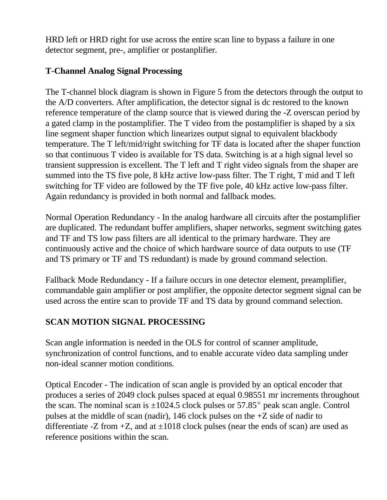HRD left or HRD right for use across the entire scan line to bypass a failure in one detector segment, pre-, amplifier or postanplifier.

#### **T-Channel Analog Signal Processing**

The T-channel block diagram is shown in Figure 5 from the detectors through the output to the A/D converters. After amplification, the detector signal is dc restored to the known reference temperature of the clamp source that is viewed during the -Z overscan period by a gated clamp in the postamplifier. The T video from the postamplifier is shaped by a six line segment shaper function which linearizes output signal to equivalent blackbody temperature. The T left/mid/right switching for TF data is located after the shaper function so that continuous T video is available for TS data. Switching is at a high signal level so transient suppression is excellent. The T left and T right video signals from the shaper are summed into the TS five pole, 8 kHz active low-pass filter. The T right, T mid and T left switching for TF video are followed by the TF five pole, 40 kHz active low-pass filter. Again redundancy is provided in both normal and fallback modes.

Normal Operation Redundancy - In the analog hardware all circuits after the postamplifier are duplicated. The redundant buffer amplifiers, shaper networks, segment switching gates and TF and TS low pass filters are all identical to the primary hardware. They are continuously active and the choice of which hardware source of data outputs to use (TF and TS primary or TF and TS redundant) is made by ground command selection.

Fallback Mode Redundancy - If a failure occurs in one detector element, preamplifier, commandable gain amplifier or post amplifier, the opposite detector segment signal can be used across the entire scan to provide TF and TS data by ground command selection.

# **SCAN MOTION SIGNAL PROCESSING**

Scan angle information is needed in the OLS for control of scanner amplitude, synchronization of control functions, and to enable accurate video data sampling under non-ideal scanner motion conditions.

Optical Encoder - The indication of scan angle is provided by an optical encoder that produces a series of 2049 clock pulses spaced at equal 0.98551 mr increments throughout the scan. The nominal scan is  $\pm 1024.5$  clock pulses or 57.85 $^{\circ}$  peak scan angle. Control pulses at the middle of scan (nadir), 146 clock pulses on the +Z side of nadir to differentiate -Z from  $+Z$ , and at  $\pm 1018$  clock pulses (near the ends of scan) are used as reference positions within the scan.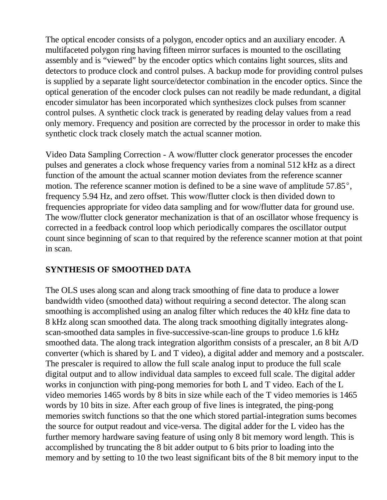The optical encoder consists of a polygon, encoder optics and an auxiliary encoder. A multifaceted polygon ring having fifteen mirror surfaces is mounted to the oscillating assembly and is "viewed" by the encoder optics which contains light sources, slits and detectors to produce clock and control pulses. A backup mode for providing control pulses is supplied by a separate light source/detector combination in the encoder optics. Since the optical generation of the encoder clock pulses can not readily be made redundant, a digital encoder simulator has been incorporated which synthesizes clock pulses from scanner control pulses. A synthetic clock track is generated by reading delay values from a read only memory. Frequency and position are corrected by the processor in order to make this synthetic clock track closely match the actual scanner motion.

Video Data Sampling Correction - A wow/flutter clock generator processes the encoder pulses and generates a clock whose frequency varies from a nominal 512 kHz as a direct function of the amount the actual scanner motion deviates from the reference scanner motion. The reference scanner motion is defined to be a sine wave of amplitude  $57.85^{\circ}$ , frequency 5.94 Hz, and zero offset. This wow/flutter clock is then divided down to frequencies appropriate for video data sampling and for wow/flutter data for ground use. The wow/flutter clock generator mechanization is that of an oscillator whose frequency is corrected in a feedback control loop which periodically compares the oscillator output count since beginning of scan to that required by the reference scanner motion at that point in scan.

#### **SYNTHESIS OF SMOOTHED DATA**

The OLS uses along scan and along track smoothing of fine data to produce a lower bandwidth video (smoothed data) without requiring a second detector. The along scan smoothing is accomplished using an analog filter which reduces the 40 kHz fine data to 8 kHz along scan smoothed data. The along track smoothing digitally integrates alongscan-smoothed data samples in five-successive-scan-line groups to produce 1.6 kHz smoothed data. The along track integration algorithm consists of a prescaler, an 8 bit A/D converter (which is shared by L and T video), a digital adder and memory and a postscaler. The prescaler is required to allow the full scale analog input to produce the full scale digital output and to allow individual data samples to exceed full scale. The digital adder works in conjunction with ping-pong memories for both L and T video. Each of the L video memories 1465 words by 8 bits in size while each of the T video memories is 1465 words by 10 bits in size. After each group of five lines is integrated, the ping-pong memories switch functions so that the one which stored partial-integration sums becomes the source for output readout and vice-versa. The digital adder for the L video has the further memory hardware saving feature of using only 8 bit memory word length. This is accomplished by truncating the 8 bit adder output to 6 bits prior to loading into the memory and by setting to 10 the two least significant bits of the 8 bit memory input to the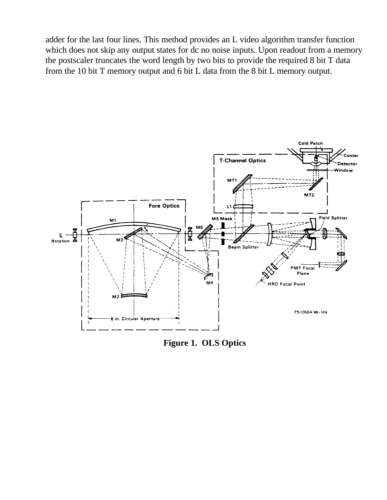adder for the last four lines. This method provides an L video algorithm transfer function which does not skip any output states for dc no noise inputs. Upon readout from a memory the postscaler truncates the word length by two bits to provide the required 8 bit T data from the 10 bit T memory output and 6 bit L data from the 8 bit L memory output.



**Figure 1. OLS Optics**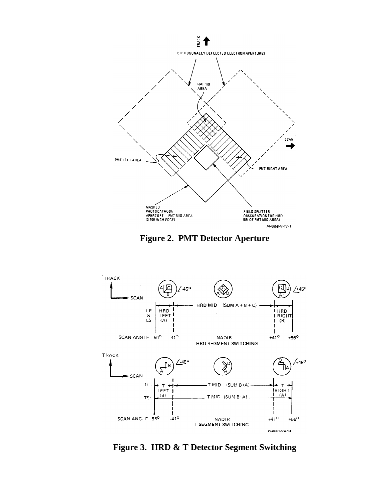





**Figure 3. HRD & T Detector Segment Switching**